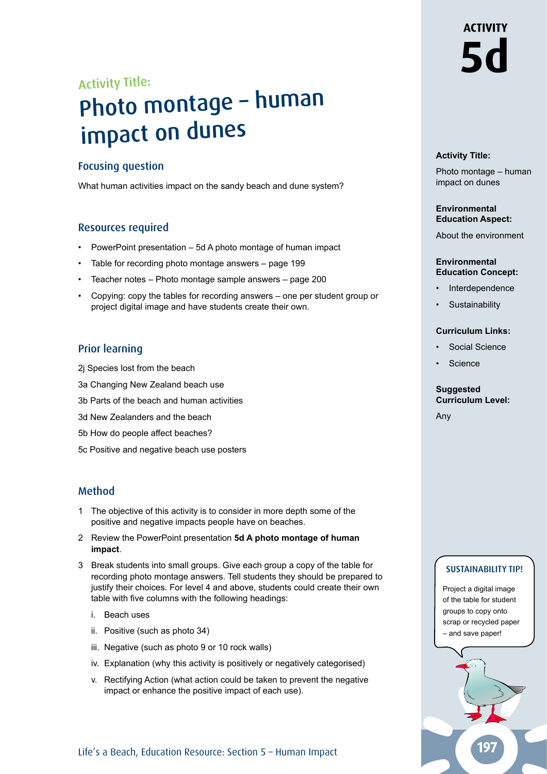# **ACTIVITY 5d**

### Activity Title:

## Photo montage – human impact on dunes

#### Focusing question

What human activities impact on the sandy beach and dune system?

### Resources required

- PowerPoint presentation 5d A photo montage of human impact
- Table for recording photo montage answers page 199
- Teacher notes Photo montage sample answers page 200
- Copying: copy the tables for recording answers one per student group or project digital image and have students create their own.

### Prior learning

- 2j Species lost from the beach
- 3a Changing New Zealand beach use
- 3b Parts of the beach and human activities
- 3d New Zealanders and the beach
- 5b How do people affect beaches?
- 5c Positive and negative beach use posters

### Method

- 1 The objective of this activity is to consider in more depth some of the positive and negative impacts people have on beaches.
- 2 Review the PowerPoint presentation **5d A photo montage of human impact**.
- 3 Break students into small groups. Give each group a copy of the table for recording photo montage answers. Tell students they should be prepared to justify their choices. For level 4 and above, students could create their own table with five columns with the following headings:
	- i. Beach uses
	- ii. Positive (such as photo 34)
	- iii. Negative (such as photo 9 or 10 rock walls)
	- iv. Explanation (why this activity is positively or negatively categorised)
	- v. Rectifying Action (what action could be taken to prevent the negative impact or enhance the positive impact of each use).

#### Life's a Beach, Education Resource: Section 5 – Human Impact

#### **Activity Title:**

Photo montage – human impact on dunes

#### **Environmental Education Aspect:**

About the environment

#### **Environmental Education Concept:**

- **Interdependence**
- **Sustainability**

#### **Curriculum Links:**

- Social Science
- **Science**

#### **Suggested Curriculum Level:**

Any

#### SUSTAINABILITY TIP!

Project a digital image of the table for student groups to copy onto scrap or recycled paper – and save paper!

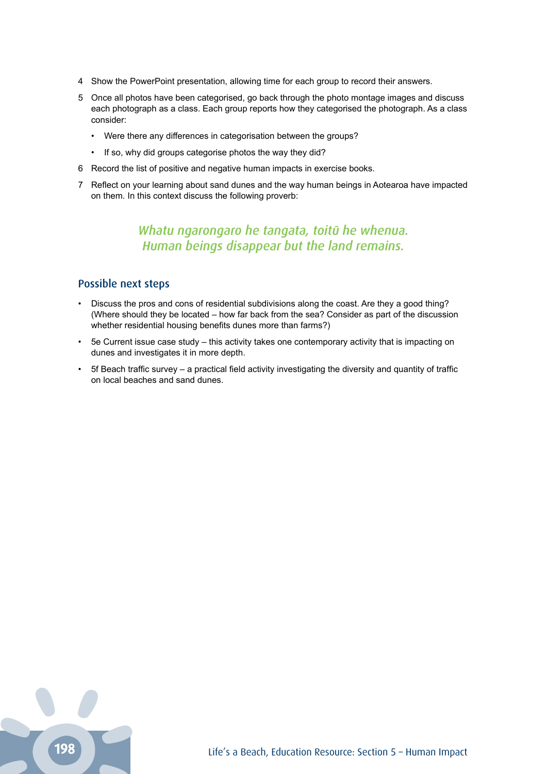- 4 Show the PowerPoint presentation, allowing time for each group to record their answers.
- 5 Once all photos have been categorised, go back through the photo montage images and discuss each photograph as a class. Each group reports how they categorised the photograph. As a class consider:
	- Were there any differences in categorisation between the groups?
	- If so, why did groups categorise photos the way they did?
- 6 Record the list of positive and negative human impacts in exercise books.
- 7 Reflect on your learning about sand dunes and the way human beings in Aotearoa have impacted on them. In this context discuss the following proverb:

#### *Whatu ngarongaro he tangata, toitū he whenua. Human beings disappear but the land remains.*

#### Possible next steps

- Discuss the pros and cons of residential subdivisions along the coast. Are they a good thing? (Where should they be located – how far back from the sea? Consider as part of the discussion whether residential housing benefits dunes more than farms?)
- 5e Current issue case study this activity takes one contemporary activity that is impacting on dunes and investigates it in more depth.
- 5f Beach traffic survey a practical field activity investigating the diversity and quantity of traffic on local beaches and sand dunes.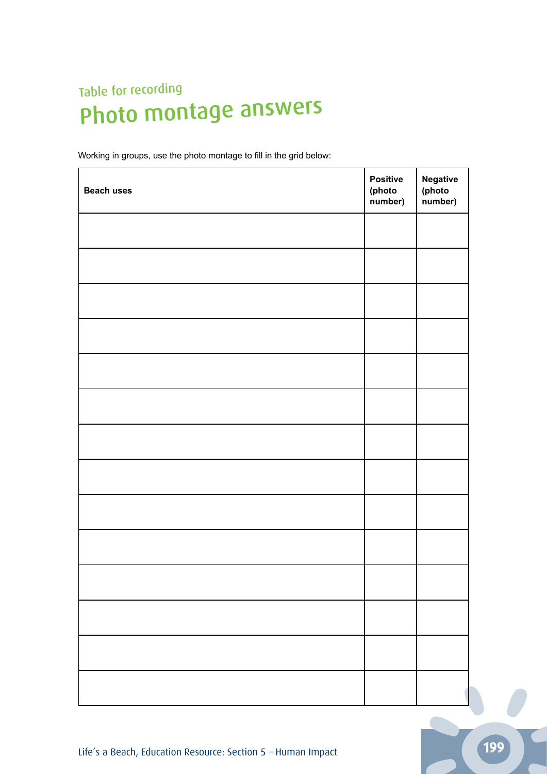### Table for recording Photo montage answers

Working in groups, use the photo montage to fill in the grid below:

| <b>Beach uses</b> | <b>Positive</b><br>(photo<br>number) | <b>Negative</b><br>(photo<br>number) |
|-------------------|--------------------------------------|--------------------------------------|
|                   |                                      |                                      |
|                   |                                      |                                      |
|                   |                                      |                                      |
|                   |                                      |                                      |
|                   |                                      |                                      |
|                   |                                      |                                      |
|                   |                                      |                                      |
|                   |                                      |                                      |
|                   |                                      |                                      |
|                   |                                      |                                      |
|                   |                                      |                                      |
|                   |                                      |                                      |
|                   |                                      |                                      |
|                   |                                      |                                      |